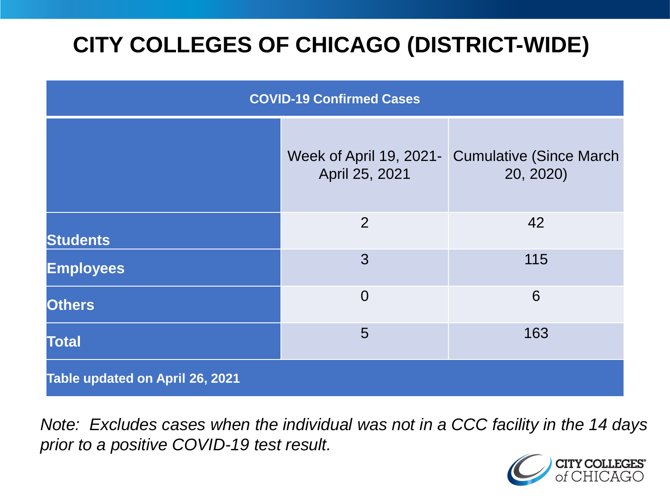# **CITY COLLEGES OF CHICAGO (DISTRICT-WIDE)**

| <b>COVID-19 Confirmed Cases</b> |                                           |                                              |
|---------------------------------|-------------------------------------------|----------------------------------------------|
|                                 | Week of April 19, 2021-<br>April 25, 2021 | <b>Cumulative (Since March)</b><br>20, 2020) |
| <b>Students</b>                 | 2                                         | 42                                           |
| <b>Employees</b>                | 3                                         | 115                                          |
| <b>Others</b>                   | $\overline{0}$                            | 6                                            |
| <b>Total</b>                    | 5                                         | 163                                          |
| Table updated on April 26, 2021 |                                           |                                              |

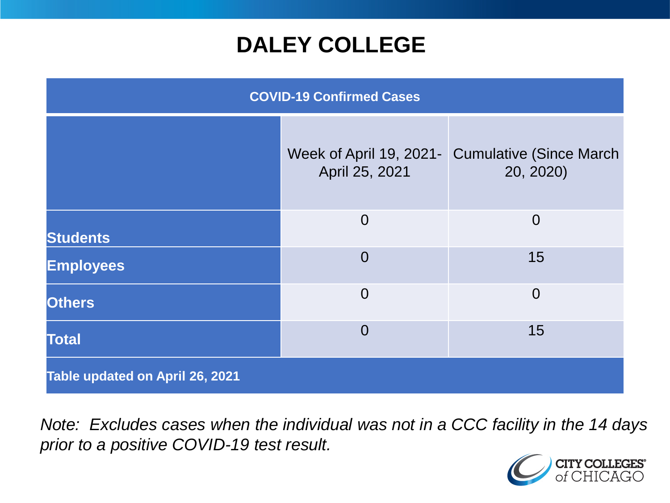### **DALEY COLLEGE**

| <b>COVID-19 Confirmed Cases</b> |                                           |                                              |
|---------------------------------|-------------------------------------------|----------------------------------------------|
|                                 | Week of April 19, 2021-<br>April 25, 2021 | <b>Cumulative (Since March)</b><br>20, 2020) |
| <b>Students</b>                 | $\overline{0}$                            | $\overline{0}$                               |
| <b>Employees</b>                | $\overline{0}$                            | 15                                           |
| <b>Others</b>                   | $\overline{0}$                            | $\overline{0}$                               |
| <b>Total</b>                    | $\overline{0}$                            | 15                                           |
| Table updated on April 26, 2021 |                                           |                                              |

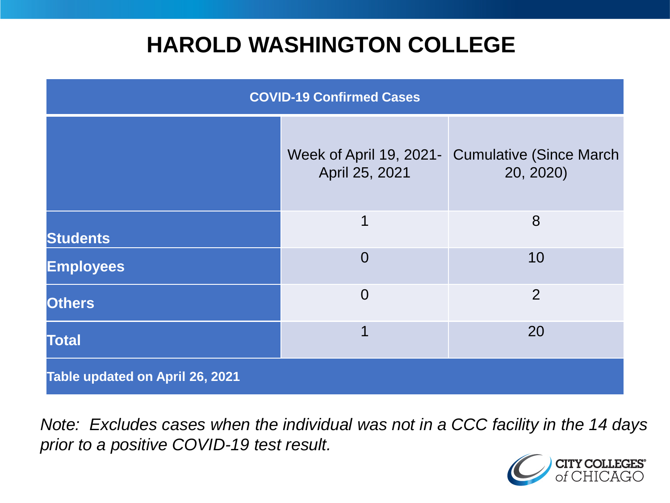### **HAROLD WASHINGTON COLLEGE**

| <b>COVID-19 Confirmed Cases</b> |                                           |                                              |
|---------------------------------|-------------------------------------------|----------------------------------------------|
|                                 | Week of April 19, 2021-<br>April 25, 2021 | <b>Cumulative (Since March)</b><br>20, 2020) |
| <b>Students</b>                 | 1                                         | 8                                            |
| <b>Employees</b>                | $\Omega$                                  | 10                                           |
| <b>Others</b>                   | $\overline{0}$                            | $\overline{2}$                               |
| <b>Total</b>                    | 1                                         | 20                                           |
| Table updated on April 26, 2021 |                                           |                                              |

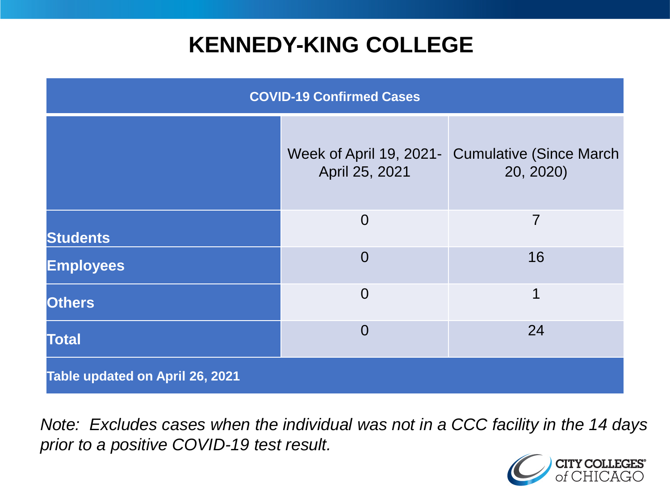### **KENNEDY-KING COLLEGE**

| <b>COVID-19 Confirmed Cases</b> |                                           |                                              |
|---------------------------------|-------------------------------------------|----------------------------------------------|
|                                 | Week of April 19, 2021-<br>April 25, 2021 | <b>Cumulative (Since March)</b><br>20, 2020) |
| <b>Students</b>                 | $\overline{0}$                            | 7                                            |
| <b>Employees</b>                | $\overline{0}$                            | 16                                           |
| <b>Others</b>                   | $\overline{0}$                            | 1                                            |
| <b>Total</b>                    | $\overline{0}$                            | 24                                           |
| Table updated on April 26, 2021 |                                           |                                              |

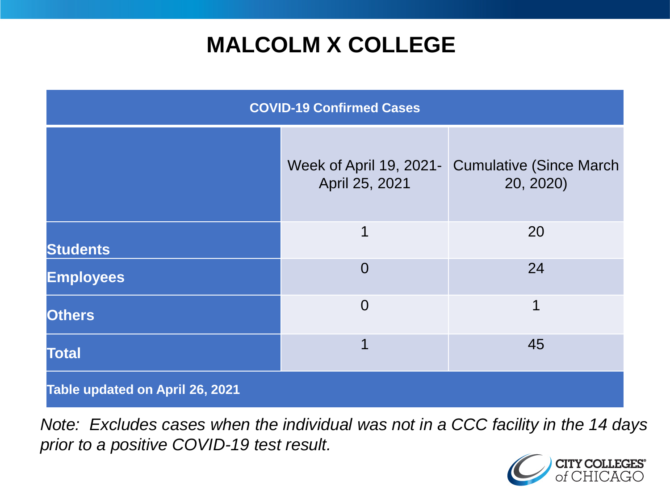## **MALCOLM X COLLEGE**

| <b>COVID-19 Confirmed Cases</b> |                                           |                                              |
|---------------------------------|-------------------------------------------|----------------------------------------------|
|                                 | Week of April 19, 2021-<br>April 25, 2021 | <b>Cumulative (Since March)</b><br>20, 2020) |
| <b>Students</b>                 | 1                                         | 20                                           |
| <b>Employees</b>                | $\overline{0}$                            | 24                                           |
| <b>Others</b>                   | $\overline{0}$                            | 1                                            |
| <b>Total</b>                    | 1                                         | 45                                           |
| Table updated on April 26, 2021 |                                           |                                              |

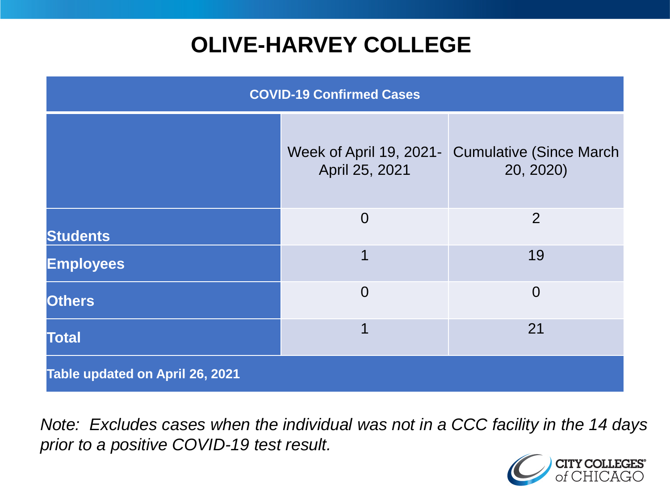# **OLIVE-HARVEY COLLEGE**

| <b>COVID-19 Confirmed Cases</b> |                                           |                                              |
|---------------------------------|-------------------------------------------|----------------------------------------------|
|                                 | Week of April 19, 2021-<br>April 25, 2021 | <b>Cumulative (Since March)</b><br>20, 2020) |
| <b>Students</b>                 | $\overline{0}$                            | 2                                            |
| <b>Employees</b>                | 1                                         | 19                                           |
| <b>Others</b>                   | $\overline{0}$                            | $\overline{0}$                               |
| <b>Total</b>                    | 1                                         | 21                                           |
| Table updated on April 26, 2021 |                                           |                                              |

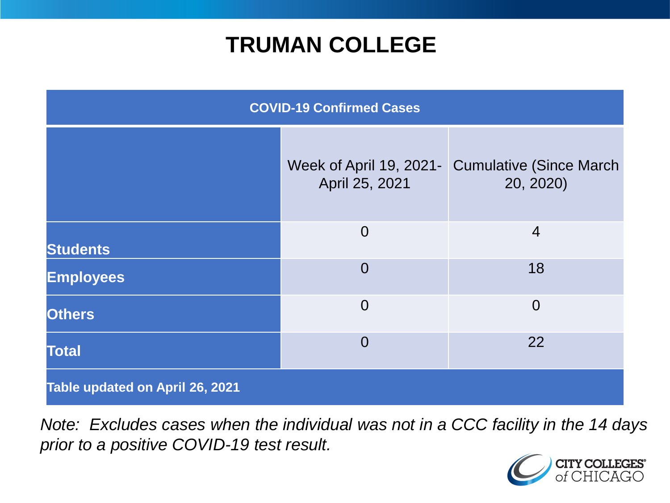### **TRUMAN COLLEGE**

| <b>COVID-19 Confirmed Cases</b> |                                           |                                              |
|---------------------------------|-------------------------------------------|----------------------------------------------|
|                                 | Week of April 19, 2021-<br>April 25, 2021 | <b>Cumulative (Since March)</b><br>20, 2020) |
| <b>Students</b>                 | $\overline{0}$                            | $\overline{4}$                               |
| <b>Employees</b>                | $\overline{0}$                            | 18                                           |
| <b>Others</b>                   | $\overline{0}$                            | $\overline{0}$                               |
| <b>Total</b>                    | $\overline{0}$                            | 22                                           |
| Table updated on April 26, 2021 |                                           |                                              |

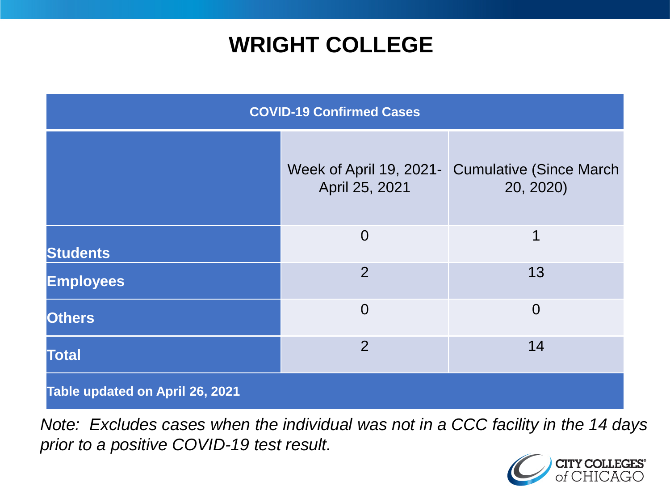### **WRIGHT COLLEGE**

| <b>COVID-19 Confirmed Cases</b> |                                           |                                              |
|---------------------------------|-------------------------------------------|----------------------------------------------|
|                                 | Week of April 19, 2021-<br>April 25, 2021 | <b>Cumulative (Since March)</b><br>20, 2020) |
| <b>Students</b>                 | $\overline{0}$                            | 1                                            |
| <b>Employees</b>                | $\overline{2}$                            | 13                                           |
| <b>Others</b>                   | $\overline{0}$                            | $\overline{0}$                               |
| <b>Total</b>                    | $\overline{2}$                            | 14                                           |
| Table updated on April 26, 2021 |                                           |                                              |